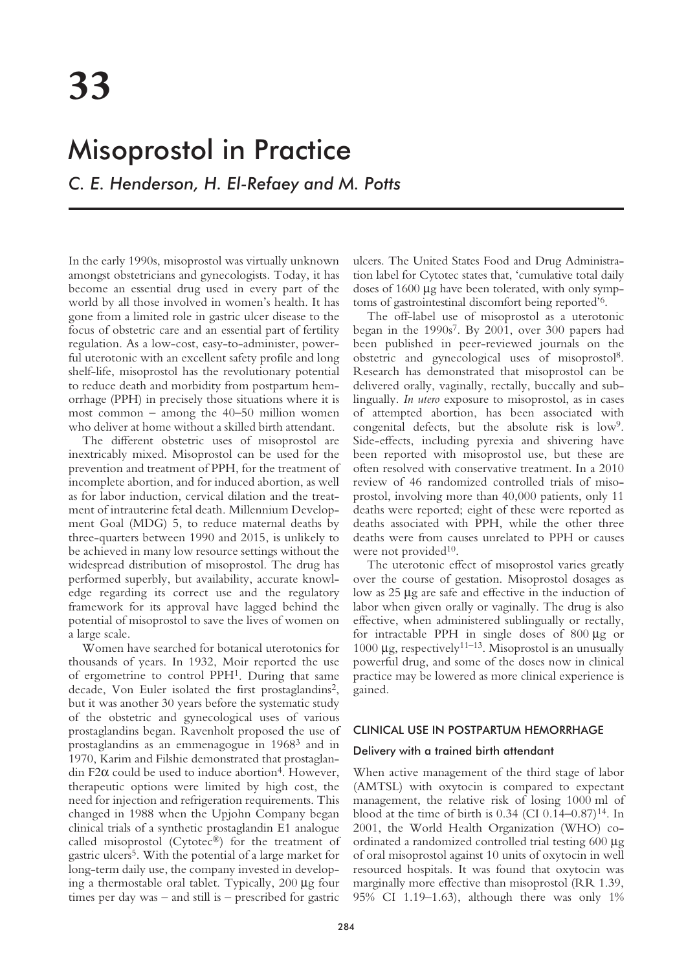# Misoprostol in Practice

*C. E. Henderson, H. El-Refaey and M. Potts*

In the early 1990s, misoprostol was virtually unknown amongst obstetricians and gynecologists. Today, it has become an essential drug used in every part of the world by all those involved in women's health. It has gone from a limited role in gastric ulcer disease to the focus of obstetric care and an essential part of fertility regulation. As a low-cost, easy-to-administer, powerful uterotonic with an excellent safety profile and long shelf-life, misoprostol has the revolutionary potential to reduce death and morbidity from postpartum hemorrhage (PPH) in precisely those situations where it is most common – among the  $40-50$  million women who deliver at home without a skilled birth attendant.

The different obstetric uses of misoprostol are inextricably mixed. Misoprostol can be used for the prevention and treatment of PPH, for the treatment of incomplete abortion, and for induced abortion, as well as for labor induction, cervical dilation and the treatment of intrauterine fetal death. Millennium Development Goal (MDG) 5, to reduce maternal deaths by three-quarters between 1990 and 2015, is unlikely to be achieved in many low resource settings without the widespread distribution of misoprostol. The drug has performed superbly, but availability, accurate knowledge regarding its correct use and the regulatory framework for its approval have lagged behind the potential of misoprostol to save the lives of women on a large scale.

Women have searched for botanical uterotonics for thousands of years. In 1932, Moir reported the use of ergometrine to control PPH1. During that same decade, Von Euler isolated the first prostaglandins<sup>2</sup>, but it was another 30 years before the systematic study of the obstetric and gynecological uses of various prostaglandins began. Ravenholt proposed the use of prostaglandins as an emmenagogue in 19683 and in 1970, Karim and Filshie demonstrated that prostaglandin F2 $\alpha$  could be used to induce abortion<sup>4</sup>. However, therapeutic options were limited by high cost, the need for injection and refrigeration requirements. This changed in 1988 when the Upjohn Company began clinical trials of a synthetic prostaglandin E1 analogue called misoprostol (Cytotec®) for the treatment of gastric ulcers5. With the potential of a large market for long-term daily use, the company invested in developing a thermostable oral tablet. Typically, 200 µg four times per day was – and still is – prescribed for gastric ulcers. The United States Food and Drug Administration label for Cytotec states that, 'cumulative total daily doses of 1600 µg have been tolerated, with only symptoms of gastrointestinal discomfort being reported'6.

The off-label use of misoprostol as a uterotonic began in the 1990s7. By 2001, over 300 papers had been published in peer-reviewed journals on the obstetric and gynecological uses of misoprostol8. Research has demonstrated that misoprostol can be delivered orally, vaginally, rectally, buccally and sublingually. *In utero* exposure to misoprostol, as in cases of attempted abortion, has been associated with congenital defects, but the absolute risk is low9. Side-effects, including pyrexia and shivering have been reported with misoprostol use, but these are often resolved with conservative treatment. In a 2010 review of 46 randomized controlled trials of misoprostol, involving more than 40,000 patients, only 11 deaths were reported; eight of these were reported as deaths associated with PPH, while the other three deaths were from causes unrelated to PPH or causes were not provided<sup>10</sup>.

The uterotonic effect of misoprostol varies greatly over the course of gestation. Misoprostol dosages as low as 25 µg are safe and effective in the induction of labor when given orally or vaginally. The drug is also effective, when administered sublingually or rectally, for intractable PPH in single doses of 800 µg or 1000  $\mu$ g, respectively<sup>11–13</sup>. Misoprostol is an unusually powerful drug, and some of the doses now in clinical practice may be lowered as more clinical experience is gained.

## CLINICAL USE IN POSTPARTUM HEMORRHAGE

### Delivery with a trained birth attendant

When active management of the third stage of labor (AMTSL) with oxytocin is compared to expectant management, the relative risk of losing 1000 ml of blood at the time of birth is  $0.34$  (CI  $0.14-0.87$ )<sup>14</sup>. In 2001, the World Health Organization (WHO) coordinated a randomized controlled trial testing 600 µg of oral misoprostol against 10 units of oxytocin in well resourced hospitals. It was found that oxytocin was marginally more effective than misoprostol (RR 1.39, 95% CI 1.19–1.63), although there was only 1%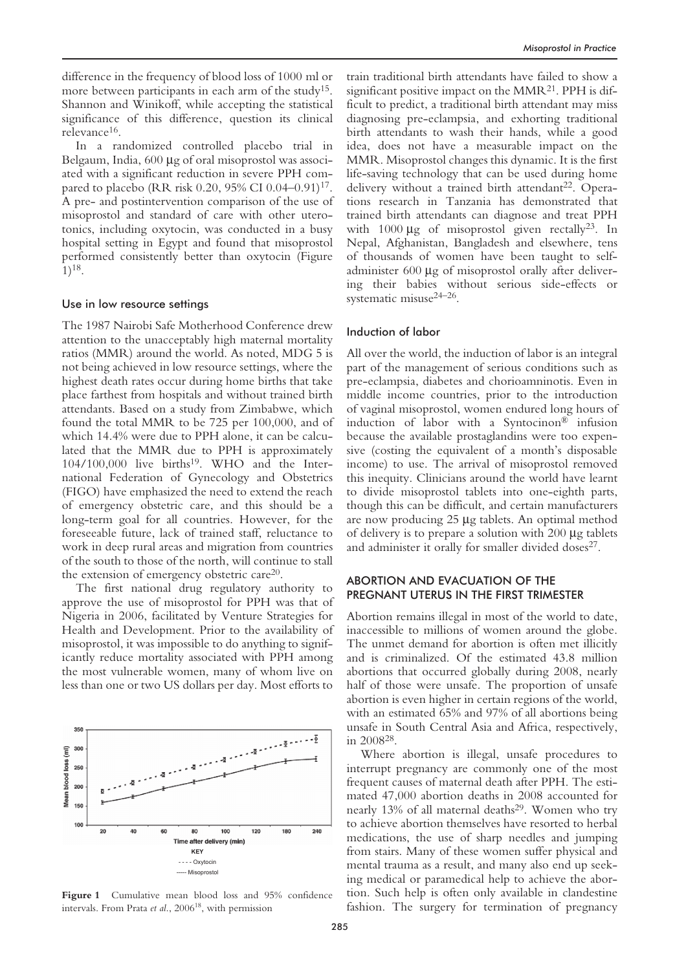difference in the frequency of blood loss of 1000 ml or more between participants in each arm of the study<sup>15</sup>. Shannon and Winikoff, while accepting the statistical significance of this difference, question its clinical relevance16.

In a randomized controlled placebo trial in Belgaum, India, 600 µg of oral misoprostol was associated with a significant reduction in severe PPH compared to placebo (RR risk 0.20, 95% CI 0.04–0.91)<sup>17</sup>. A pre- and postintervention comparison of the use of misoprostol and standard of care with other uterotonics, including oxytocin, was conducted in a busy hospital setting in Egypt and found that misoprostol performed consistently better than oxytocin (Figure 1)18.

### Use in low resource settings

The 1987 Nairobi Safe Motherhood Conference drew attention to the unacceptably high maternal mortality ratios (MMR) around the world. As noted, MDG 5 is not being achieved in low resource settings, where the highest death rates occur during home births that take place farthest from hospitals and without trained birth attendants. Based on a study from Zimbabwe, which found the total MMR to be 725 per 100,000, and of which 14.4% were due to PPH alone, it can be calculated that the MMR due to PPH is approximately 104/100,000 live births19. WHO and the International Federation of Gynecology and Obstetrics (FIGO) have emphasized the need to extend the reach of emergency obstetric care, and this should be a long-term goal for all countries. However, for the foreseeable future, lack of trained staff, reluctance to work in deep rural areas and migration from countries of the south to those of the north, will continue to stall the extension of emergency obstetric care20.

The first national drug regulatory authority to approve the use of misoprostol for PPH was that of Nigeria in 2006, facilitated by Venture Strategies for Health and Development. Prior to the availability of misoprostol, it was impossible to do anything to significantly reduce mortality associated with PPH among the most vulnerable women, many of whom live on less than one or two US dollars per day. Most efforts to



Figure 1 Cumulative mean blood loss and 95% confidence intervals. From Prata *et al.*, 2006<sup>18</sup>, with permission

train traditional birth attendants have failed to show a significant positive impact on the  $MMR<sup>21</sup>$ . PPH is difficult to predict, a traditional birth attendant may miss diagnosing pre-eclampsia, and exhorting traditional birth attendants to wash their hands, while a good idea, does not have a measurable impact on the MMR. Misoprostol changes this dynamic. It is the first life-saving technology that can be used during home delivery without a trained birth attendant<sup>22</sup>. Operations research in Tanzania has demonstrated that trained birth attendants can diagnose and treat PPH with  $1000 \mu$ g of misoprostol given rectally<sup>23</sup>. In Nepal, Afghanistan, Bangladesh and elsewhere, tens of thousands of women have been taught to selfadminister 600 µg of misoprostol orally after delivering their babies without serious side-effects or systematic misuse24–26.

## Induction of labor

All over the world, the induction of labor is an integral part of the management of serious conditions such as pre-eclampsia, diabetes and chorioamninotis. Even in middle income countries, prior to the introduction of vaginal misoprostol, women endured long hours of induction of labor with a Syntocinon® infusion because the available prostaglandins were too expensive (costing the equivalent of a month's disposable income) to use. The arrival of misoprostol removed this inequity. Clinicians around the world have learnt to divide misoprostol tablets into one-eighth parts, though this can be difficult, and certain manufacturers are now producing 25 µg tablets. An optimal method of delivery is to prepare a solution with 200 µg tablets and administer it orally for smaller divided doses<sup>27</sup>.

## ABORTION AND EVACUATION OF THE PREGNANT UTERUS IN THE FIRST TRIMESTER

Abortion remains illegal in most of the world to date, inaccessible to millions of women around the globe. The unmet demand for abortion is often met illicitly and is criminalized. Of the estimated 43.8 million abortions that occurred globally during 2008, nearly half of those were unsafe. The proportion of unsafe abortion is even higher in certain regions of the world, with an estimated 65% and 97% of all abortions being unsafe in South Central Asia and Africa, respectively, in 200828.

Where abortion is illegal, unsafe procedures to interrupt pregnancy are commonly one of the most frequent causes of maternal death after PPH. The estimated 47,000 abortion deaths in 2008 accounted for nearly 13% of all maternal deaths<sup>29</sup>. Women who try to achieve abortion themselves have resorted to herbal medications, the use of sharp needles and jumping from stairs. Many of these women suffer physical and mental trauma as a result, and many also end up seeking medical or paramedical help to achieve the abortion. Such help is often only available in clandestine fashion. The surgery for termination of pregnancy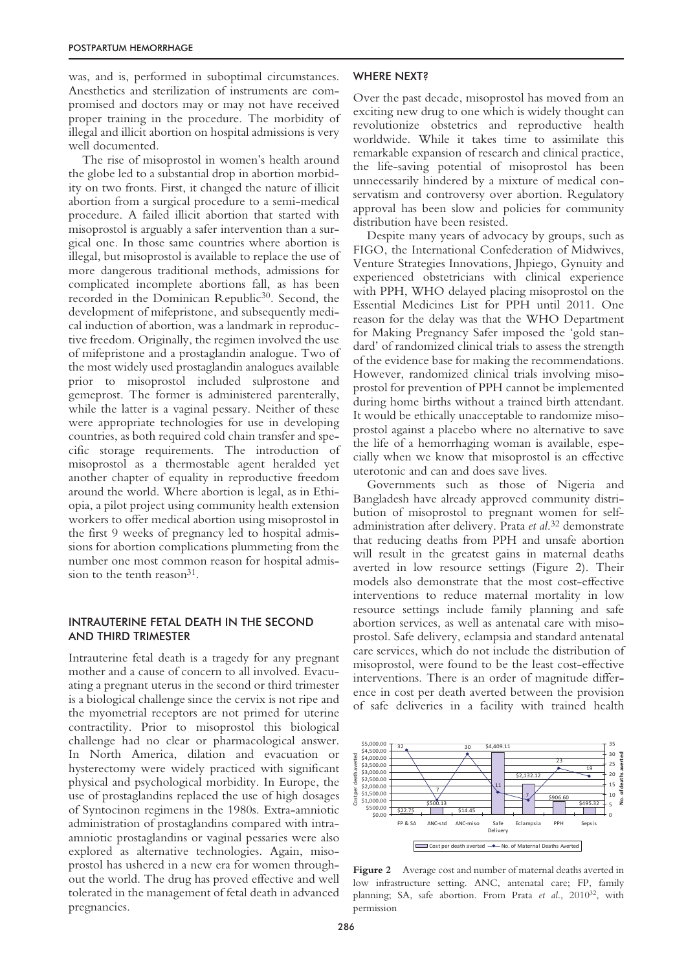was, and is, performed in suboptimal circumstances. Anesthetics and sterilization of instruments are compromised and doctors may or may not have received proper training in the procedure. The morbidity of illegal and illicit abortion on hospital admissions is very well documented.

The rise of misoprostol in women's health around the globe led to a substantial drop in abortion morbidity on two fronts. First, it changed the nature of illicit abortion from a surgical procedure to a semi-medical procedure. A failed illicit abortion that started with misoprostol is arguably a safer intervention than a surgical one. In those same countries where abortion is illegal, but misoprostol is available to replace the use of more dangerous traditional methods, admissions for complicated incomplete abortions fall, as has been recorded in the Dominican Republic<sup>30</sup>. Second, the development of mifepristone, and subsequently medical induction of abortion, was a landmark in reproductive freedom. Originally, the regimen involved the use of mifepristone and a prostaglandin analogue. Two of the most widely used prostaglandin analogues available prior to misoprostol included sulprostone and gemeprost. The former is administered parenterally, while the latter is a vaginal pessary. Neither of these were appropriate technologies for use in developing countries, as both required cold chain transfer and specific storage requirements. The introduction of misoprostol as a thermostable agent heralded yet another chapter of equality in reproductive freedom around the world. Where abortion is legal, as in Ethiopia, a pilot project using community health extension workers to offer medical abortion using misoprostol in the first 9 weeks of pregnancy led to hospital admissions for abortion complications plummeting from the number one most common reason for hospital admission to the tenth reason<sup>31</sup>.

## INTRAUTERINE FETAL DEATH IN THE SECOND AND THIRD TRIMESTER

Intrauterine fetal death is a tragedy for any pregnant mother and a cause of concern to all involved. Evacuating a pregnant uterus in the second or third trimester is a biological challenge since the cervix is not ripe and the myometrial receptors are not primed for uterine contractility. Prior to misoprostol this biological challenge had no clear or pharmacological answer. In North America, dilation and evacuation or hysterectomy were widely practiced with significant physical and psychological morbidity. In Europe, the use of prostaglandins replaced the use of high dosages of Syntocinon regimens in the 1980s. Extra-amniotic administration of prostaglandins compared with intraamniotic prostaglandins or vaginal pessaries were also explored as alternative technologies. Again, misoprostol has ushered in a new era for women throughout the world. The drug has proved effective and well tolerated in the management of fetal death in advanced pregnancies.

### WHERE NEXT?

Over the past decade, misoprostol has moved from an exciting new drug to one which is widely thought can revolutionize obstetrics and reproductive health worldwide. While it takes time to assimilate this remarkable expansion of research and clinical practice, the life-saving potential of misoprostol has been unnecessarily hindered by a mixture of medical conservatism and controversy over abortion. Regulatory approval has been slow and policies for community distribution have been resisted.

Despite many years of advocacy by groups, such as FIGO, the International Confederation of Midwives, Venture Strategies Innovations, Jhpiego, Gynuity and experienced obstetricians with clinical experience with PPH, WHO delayed placing misoprostol on the Essential Medicines List for PPH until 2011. One reason for the delay was that the WHO Department for Making Pregnancy Safer imposed the 'gold standard' of randomized clinical trials to assess the strength of the evidence base for making the recommendations. However, randomized clinical trials involving misoprostol for prevention of PPH cannot be implemented during home births without a trained birth attendant. It would be ethically unacceptable to randomize misoprostol against a placebo where no alternative to save the life of a hemorrhaging woman is available, especially when we know that misoprostol is an effective uterotonic and can and does save lives.

Governments such as those of Nigeria and Bangladesh have already approved community distribution of misoprostol to pregnant women for selfadministration after delivery. Prata *et al*. <sup>32</sup> demonstrate that reducing deaths from PPH and unsafe abortion will result in the greatest gains in maternal deaths averted in low resource settings (Figure 2). Their models also demonstrate that the most cost-effective interventions to reduce maternal mortality in low resource settings include family planning and safe abortion services, as well as antenatal care with misoprostol. Safe delivery, eclampsia and standard antenatal care services, which do not include the distribution of misoprostol, were found to be the least cost-effective interventions. There is an order of magnitude difference in cost per death averted between the provision of safe deliveries in a facility with trained health



**Figure 2** Average cost and number of maternal deaths averted in low infrastructure setting. ANC, antenatal care; FP, family planning; SA, safe abortion. From Prata *et al.*, 2010<sup>32</sup>, with permission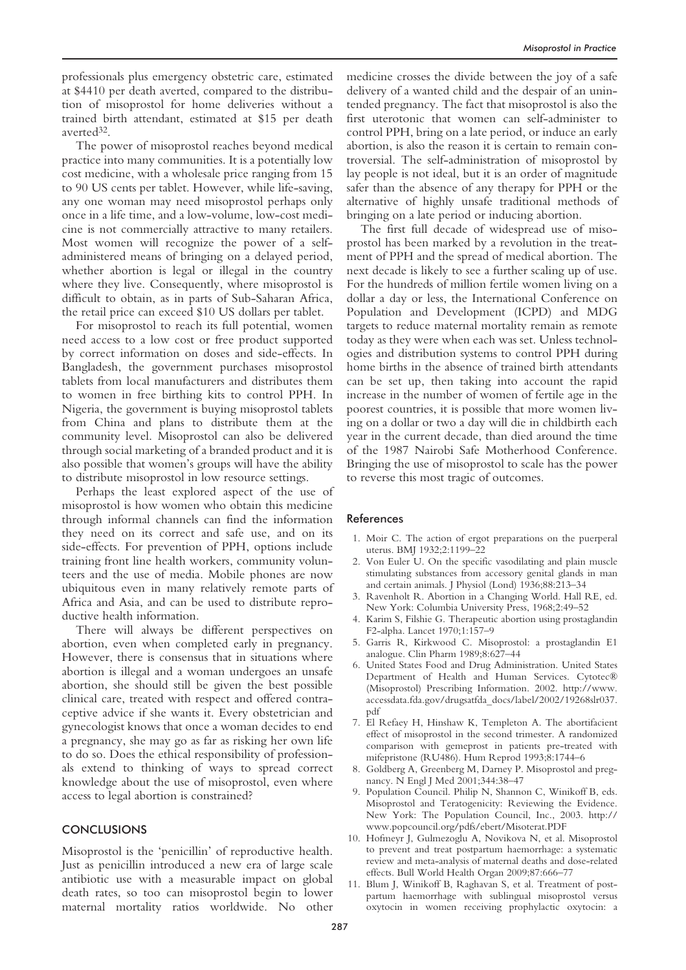professionals plus emergency obstetric care, estimated at \$4410 per death averted, compared to the distribution of misoprostol for home deliveries without a trained birth attendant, estimated at \$15 per death averted32.

The power of misoprostol reaches beyond medical practice into many communities. It is a potentially low cost medicine, with a wholesale price ranging from 15 to 90 US cents per tablet. However, while life-saving, any one woman may need misoprostol perhaps only once in a life time, and a low-volume, low-cost medicine is not commercially attractive to many retailers. Most women will recognize the power of a selfadministered means of bringing on a delayed period, whether abortion is legal or illegal in the country where they live. Consequently, where misoprostol is difficult to obtain, as in parts of Sub-Saharan Africa, the retail price can exceed \$10 US dollars per tablet.

For misoprostol to reach its full potential, women need access to a low cost or free product supported by correct information on doses and side-effects. In Bangladesh, the government purchases misoprostol tablets from local manufacturers and distributes them to women in free birthing kits to control PPH. In Nigeria, the government is buying misoprostol tablets from China and plans to distribute them at the community level. Misoprostol can also be delivered through social marketing of a branded product and it is also possible that women's groups will have the ability to distribute misoprostol in low resource settings.

Perhaps the least explored aspect of the use of misoprostol is how women who obtain this medicine through informal channels can find the information they need on its correct and safe use, and on its side-effects. For prevention of PPH, options include training front line health workers, community volunteers and the use of media. Mobile phones are now ubiquitous even in many relatively remote parts of Africa and Asia, and can be used to distribute reproductive health information.

There will always be different perspectives on abortion, even when completed early in pregnancy. However, there is consensus that in situations where abortion is illegal and a woman undergoes an unsafe abortion, she should still be given the best possible clinical care, treated with respect and offered contraceptive advice if she wants it. Every obstetrician and gynecologist knows that once a woman decides to end a pregnancy, she may go as far as risking her own life to do so. Does the ethical responsibility of professionals extend to thinking of ways to spread correct knowledge about the use of misoprostol, even where access to legal abortion is constrained?

# **CONCLUSIONS**

Misoprostol is the 'penicillin' of reproductive health. Just as penicillin introduced a new era of large scale antibiotic use with a measurable impact on global death rates, so too can misoprostol begin to lower maternal mortality ratios worldwide. No other

medicine crosses the divide between the joy of a safe delivery of a wanted child and the despair of an unintended pregnancy. The fact that misoprostol is also the first uterotonic that women can self-administer to control PPH, bring on a late period, or induce an early abortion, is also the reason it is certain to remain controversial. The self-administration of misoprostol by lay people is not ideal, but it is an order of magnitude safer than the absence of any therapy for PPH or the alternative of highly unsafe traditional methods of bringing on a late period or inducing abortion.

The first full decade of widespread use of misoprostol has been marked by a revolution in the treatment of PPH and the spread of medical abortion. The next decade is likely to see a further scaling up of use. For the hundreds of million fertile women living on a dollar a day or less, the International Conference on Population and Development (ICPD) and MDG targets to reduce maternal mortality remain as remote today as they were when each was set. Unless technologies and distribution systems to control PPH during home births in the absence of trained birth attendants can be set up, then taking into account the rapid increase in the number of women of fertile age in the poorest countries, it is possible that more women living on a dollar or two a day will die in childbirth each year in the current decade, than died around the time of the 1987 Nairobi Safe Motherhood Conference. Bringing the use of misoprostol to scale has the power to reverse this most tragic of outcomes.

### References

- 1. Moir C. The action of ergot preparations on the puerperal uterus. BMJ 1932;2:1199–22
- 2. Von Euler U. On the specific vasodilating and plain muscle stimulating substances from accessory genital glands in man and certain animals. J Physiol (Lond) 1936;88:213–34
- 3. Ravenholt R. Abortion in a Changing World. Hall RE, ed. New York: Columbia University Press, 1968;2:49–52
- 4. Karim S, Filshie G. Therapeutic abortion using prostaglandin F2-alpha. Lancet 1970;1:157–9
- 5. Garris R, Kirkwood C. Misoprostol: a prostaglandin E1 analogue. Clin Pharm 1989;8:627–44
- 6. United States Food and Drug Administration. United States Department of Health and Human Services. Cytotec® (Misoprostol) Prescribing Information. 2002. http://www. accessdata.fda.gov/drugsatfda\_docs/label/2002/19268slr037. pdf
- 7. El Refaey H, Hinshaw K, Templeton A. The abortifacient effect of misoprostol in the second trimester. A randomized comparison with gemeprost in patients pre-treated with mifepristone (RU486). Hum Reprod 1993;8:1744–6
- 8. Goldberg A, Greenberg M, Darney P. Misoprostol and pregnancy. N Engl J Med 2001;344:38–47
- 9. Population Council. Philip N, Shannon C, Winikoff B, eds. Misoprostol and Teratogenicity: Reviewing the Evidence. New York: The Population Council, Inc., 2003. http:// www.popcouncil.org/pdfs/ebert/Misoterat.PDF
- 10. Hofmeyr J, Gulmezoglu A, Novikova N, et al. Misoprostol to prevent and treat postpartum haemorrhage: a systematic review and meta-analysis of maternal deaths and dose-related effects. Bull World Health Organ 2009;87:666–77
- 11. Blum J, Winikoff B, Raghavan S, et al. Treatment of postpartum haemorrhage with sublingual misoprostol versus oxytocin in women receiving prophylactic oxytocin: a